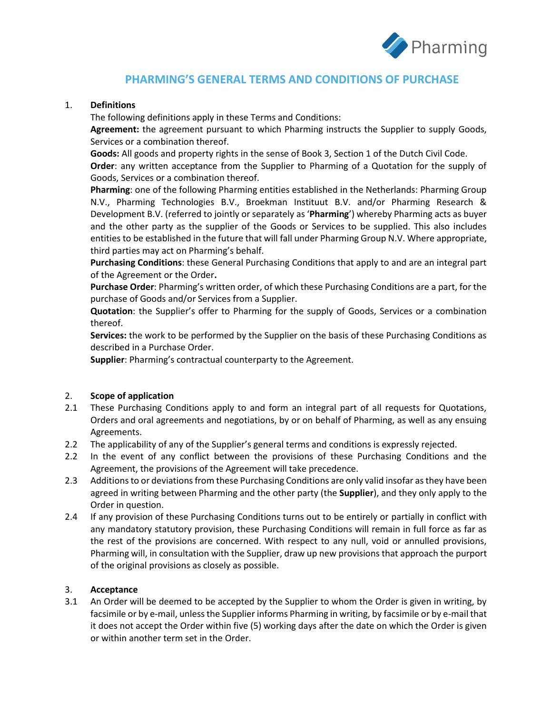

# **PHARMING'S GENERAL TERMS AND CONDITIONS OF PURCHASE**

# 1. **Definitions**

The following definitions apply in these Terms and Conditions:

**Agreement:** the agreement pursuant to which Pharming instructs the Supplier to supply Goods, Services or a combination thereof.

**Goods:** All goods and property rights in the sense of Book 3, Section 1 of the Dutch Civil Code.

**Order**: any written acceptance from the Supplier to Pharming of a Quotation for the supply of Goods, Services or a combination thereof.

**Pharming**: one of the following Pharming entities established in the Netherlands: Pharming Group N.V., Pharming Technologies B.V., Broekman Instituut B.V. and/or Pharming Research & Development B.V. (referred to jointly or separately as '**Pharming**') whereby Pharming acts as buyer and the other party as the supplier of the Goods or Services to be supplied. This also includes entities to be established in the future that will fall under Pharming Group N.V. Where appropriate, third parties may act on Pharming's behalf.

**Purchasing Conditions**: these General Purchasing Conditions that apply to and are an integral part of the Agreement or the Order**.**

**Purchase Order**: Pharming's written order, of which these Purchasing Conditions are a part, for the purchase of Goods and/or Services from a Supplier.

**Quotation**: the Supplier's offer to Pharming for the supply of Goods, Services or a combination thereof.

**Services:** the work to be performed by the Supplier on the basis of these Purchasing Conditions as described in a Purchase Order.

**Supplier**: Pharming's contractual counterparty to the Agreement.

# 2. **Scope of application**

- 2.1 These Purchasing Conditions apply to and form an integral part of all requests for Quotations, Orders and oral agreements and negotiations, by or on behalf of Pharming, as well as any ensuing Agreements.
- 2.2 The applicability of any of the Supplier's general terms and conditions is expressly rejected.
- 2.2 In the event of any conflict between the provisions of these Purchasing Conditions and the Agreement, the provisions of the Agreement will take precedence.
- 2.3 Additions to or deviations from these Purchasing Conditions are only valid insofar as they have been agreed in writing between Pharming and the other party (the **Supplier**), and they only apply to the Order in question.
- 2.4 If any provision of these Purchasing Conditions turns out to be entirely or partially in conflict with any mandatory statutory provision, these Purchasing Conditions will remain in full force as far as the rest of the provisions are concerned. With respect to any null, void or annulled provisions, Pharming will, in consultation with the Supplier, draw up new provisions that approach the purport of the original provisions as closely as possible.

# 3. **Acceptance**

3.1 An Order will be deemed to be accepted by the Supplier to whom the Order is given in writing, by facsimile or by e-mail, unless the Supplier informs Pharming in writing, by facsimile or by e-mail that it does not accept the Order within five (5) working days after the date on which the Order is given or within another term set in the Order.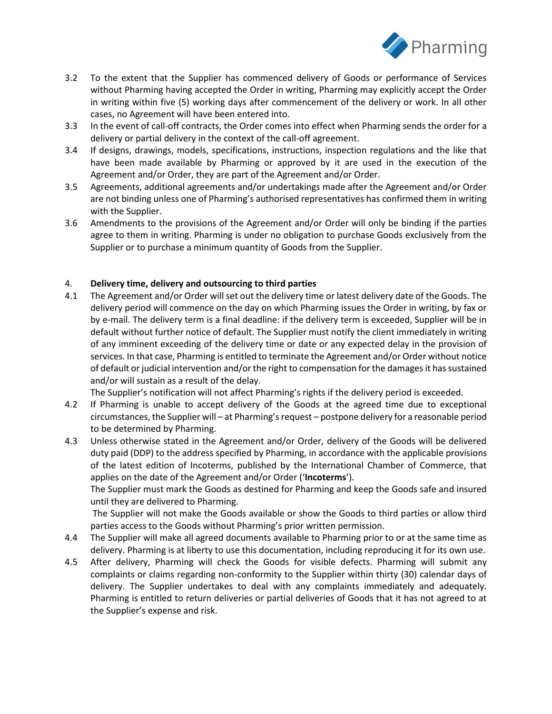

- 3.2 To the extent that the Supplier has commenced delivery of Goods or performance of Services without Pharming having accepted the Order in writing, Pharming may explicitly accept the Order in writing within five (5) working days after commencement of the delivery or work. In all other cases, no Agreement will have been entered into.
- 3.3 In the event of call-off contracts, the Order comes into effect when Pharming sends the order for a delivery or partial delivery in the context of the call-off agreement.
- 3.4 If designs, drawings, models, specifications, instructions, inspection regulations and the like that have been made available by Pharming or approved by it are used in the execution of the Agreement and/or Order, they are part of the Agreement and/or Order.
- 3.5 Agreements, additional agreements and/or undertakings made after the Agreement and/or Order are not binding unless one of Pharming's authorised representatives has confirmed them in writing with the Supplier.
- 3.6 Amendments to the provisions of the Agreement and/or Order will only be binding if the parties agree to them in writing. Pharming is under no obligation to purchase Goods exclusively from the Supplier or to purchase a minimum quantity of Goods from the Supplier.

# 4. **Delivery time, delivery and outsourcing to third parties**

4.1 The Agreement and/or Order will set out the delivery time or latest delivery date of the Goods. The delivery period will commence on the day on which Pharming issues the Order in writing, by fax or by e-mail. The delivery term is a final deadline: if the delivery term is exceeded, Supplier will be in default without further notice of default. The Supplier must notify the client immediately in writing of any imminent exceeding of the delivery time or date or any expected delay in the provision of services. In that case, Pharming is entitled to terminate the Agreement and/or Order without notice of default or judicial intervention and/or the right to compensation for the damages it has sustained and/or will sustain as a result of the delay.

The Supplier's notification will not affect Pharming's rights if the delivery period is exceeded.

- 4.2 If Pharming is unable to accept delivery of the Goods at the agreed time due to exceptional circumstances, the Supplier will – at Pharming's request – postpone delivery for a reasonable period to be determined by Pharming.
- 4.3 Unless otherwise stated in the Agreement and/or Order, delivery of the Goods will be delivered duty paid (DDP) to the address specified by Pharming, in accordance with the applicable provisions of the latest edition of Incoterms, published by the International Chamber of Commerce, that applies on the date of the Agreement and/or Order ('**Incoterms**').

The Supplier must mark the Goods as destined for Pharming and keep the Goods safe and insured until they are delivered to Pharming.

The Supplier will not make the Goods available or show the Goods to third parties or allow third parties access to the Goods without Pharming's prior written permission.

- 4.4 The Supplier will make all agreed documents available to Pharming prior to or at the same time as delivery. Pharming is at liberty to use this documentation, including reproducing it for its own use.
- 4.5 After delivery, Pharming will check the Goods for visible defects. Pharming will submit any complaints or claims regarding non-conformity to the Supplier within thirty (30) calendar days of delivery. The Supplier undertakes to deal with any complaints immediately and adequately. Pharming is entitled to return deliveries or partial deliveries of Goods that it has not agreed to at the Supplier's expense and risk.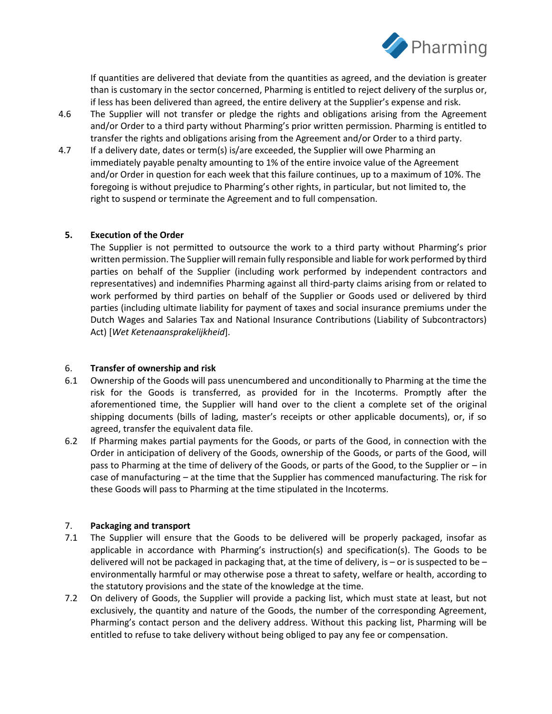

If quantities are delivered that deviate from the quantities as agreed, and the deviation is greater than is customary in the sector concerned, Pharming is entitled to reject delivery of the surplus or, if less has been delivered than agreed, the entire delivery at the Supplier's expense and risk.

- 4.6 The Supplier will not transfer or pledge the rights and obligations arising from the Agreement and/or Order to a third party without Pharming's prior written permission. Pharming is entitled to transfer the rights and obligations arising from the Agreement and/or Order to a third party.
- 4.7 If a delivery date, dates or term(s) is/are exceeded, the Supplier will owe Pharming an immediately payable penalty amounting to 1% of the entire invoice value of the Agreement and/or Order in question for each week that this failure continues, up to a maximum of 10%. The foregoing is without prejudice to Pharming's other rights, in particular, but not limited to, the right to suspend or terminate the Agreement and to full compensation.

# **5. Execution of the Order**

The Supplier is not permitted to outsource the work to a third party without Pharming's prior written permission. The Supplier will remain fully responsible and liable for work performed by third parties on behalf of the Supplier (including work performed by independent contractors and representatives) and indemnifies Pharming against all third-party claims arising from or related to work performed by third parties on behalf of the Supplier or Goods used or delivered by third parties (including ultimate liability for payment of taxes and social insurance premiums under the Dutch Wages and Salaries Tax and National Insurance Contributions (Liability of Subcontractors) Act) [*Wet Ketenaansprakelijkheid*].

# 6. **Transfer of ownership and risk**

- 6.1 Ownership of the Goods will pass unencumbered and unconditionally to Pharming at the time the risk for the Goods is transferred, as provided for in the Incoterms. Promptly after the aforementioned time, the Supplier will hand over to the client a complete set of the original shipping documents (bills of lading, master's receipts or other applicable documents), or, if so agreed, transfer the equivalent data file.
- 6.2 If Pharming makes partial payments for the Goods, or parts of the Good, in connection with the Order in anticipation of delivery of the Goods, ownership of the Goods, or parts of the Good, will pass to Pharming at the time of delivery of the Goods, or parts of the Good, to the Supplier or – in case of manufacturing – at the time that the Supplier has commenced manufacturing. The risk for these Goods will pass to Pharming at the time stipulated in the Incoterms.

# 7. **Packaging and transport**

- 7.1 The Supplier will ensure that the Goods to be delivered will be properly packaged, insofar as applicable in accordance with Pharming's instruction(s) and specification(s). The Goods to be delivered will not be packaged in packaging that, at the time of delivery, is – or is suspected to be – environmentally harmful or may otherwise pose a threat to safety, welfare or health, according to the statutory provisions and the state of the knowledge at the time.
- 7.2 On delivery of Goods, the Supplier will provide a packing list, which must state at least, but not exclusively, the quantity and nature of the Goods, the number of the corresponding Agreement, Pharming's contact person and the delivery address. Without this packing list, Pharming will be entitled to refuse to take delivery without being obliged to pay any fee or compensation.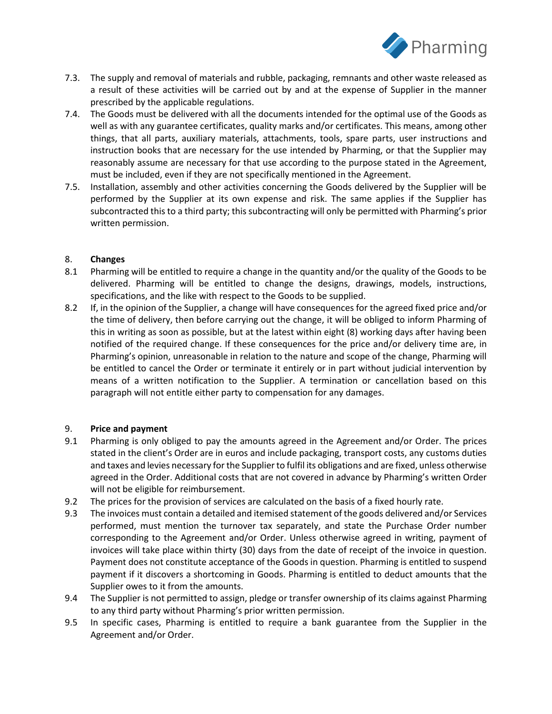

- 7.3. The supply and removal of materials and rubble, packaging, remnants and other waste released as a result of these activities will be carried out by and at the expense of Supplier in the manner prescribed by the applicable regulations.
- 7.4. The Goods must be delivered with all the documents intended for the optimal use of the Goods as well as with any guarantee certificates, quality marks and/or certificates. This means, among other things, that all parts, auxiliary materials, attachments, tools, spare parts, user instructions and instruction books that are necessary for the use intended by Pharming, or that the Supplier may reasonably assume are necessary for that use according to the purpose stated in the Agreement, must be included, even if they are not specifically mentioned in the Agreement.
- 7.5. Installation, assembly and other activities concerning the Goods delivered by the Supplier will be performed by the Supplier at its own expense and risk. The same applies if the Supplier has subcontracted this to a third party; this subcontracting will only be permitted with Pharming's prior written permission.

# 8. **Changes**

- 8.1 Pharming will be entitled to require a change in the quantity and/or the quality of the Goods to be delivered. Pharming will be entitled to change the designs, drawings, models, instructions, specifications, and the like with respect to the Goods to be supplied.
- 8.2 If, in the opinion of the Supplier, a change will have consequences for the agreed fixed price and/or the time of delivery, then before carrying out the change, it will be obliged to inform Pharming of this in writing as soon as possible, but at the latest within eight (8) working days after having been notified of the required change. If these consequences for the price and/or delivery time are, in Pharming's opinion, unreasonable in relation to the nature and scope of the change, Pharming will be entitled to cancel the Order or terminate it entirely or in part without judicial intervention by means of a written notification to the Supplier. A termination or cancellation based on this paragraph will not entitle either party to compensation for any damages.

# 9. **Price and payment**

- 9.1 Pharming is only obliged to pay the amounts agreed in the Agreement and/or Order. The prices stated in the client's Order are in euros and include packaging, transport costs, any customs duties and taxes and levies necessary for the Supplier to fulfil its obligations and are fixed, unless otherwise agreed in the Order. Additional costs that are not covered in advance by Pharming's written Order will not be eligible for reimbursement.
- 9.2 The prices for the provision of services are calculated on the basis of a fixed hourly rate.
- 9.3 The invoices must contain a detailed and itemised statement of the goods delivered and/or Services performed, must mention the turnover tax separately, and state the Purchase Order number corresponding to the Agreement and/or Order. Unless otherwise agreed in writing, payment of invoices will take place within thirty (30) days from the date of receipt of the invoice in question. Payment does not constitute acceptance of the Goods in question. Pharming is entitled to suspend payment if it discovers a shortcoming in Goods. Pharming is entitled to deduct amounts that the Supplier owes to it from the amounts.
- 9.4 The Supplier is not permitted to assign, pledge or transfer ownership of its claims against Pharming to any third party without Pharming's prior written permission.
- 9.5 In specific cases, Pharming is entitled to require a bank guarantee from the Supplier in the Agreement and/or Order.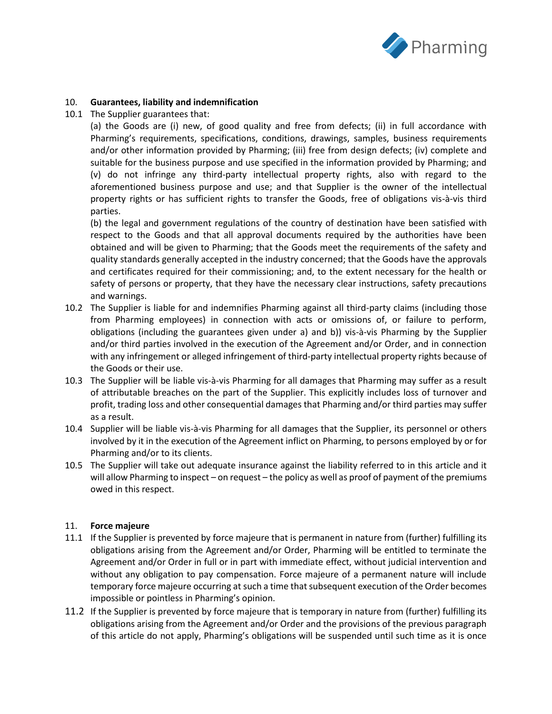

## 10. **Guarantees, liability and indemnification**

10.1 The Supplier guarantees that:

(a) the Goods are (i) new, of good quality and free from defects; (ii) in full accordance with Pharming's requirements, specifications, conditions, drawings, samples, business requirements and/or other information provided by Pharming; (iii) free from design defects; (iv) complete and suitable for the business purpose and use specified in the information provided by Pharming; and (v) do not infringe any third-party intellectual property rights, also with regard to the aforementioned business purpose and use; and that Supplier is the owner of the intellectual property rights or has sufficient rights to transfer the Goods, free of obligations vis-à-vis third parties.

(b) the legal and government regulations of the country of destination have been satisfied with respect to the Goods and that all approval documents required by the authorities have been obtained and will be given to Pharming; that the Goods meet the requirements of the safety and quality standards generally accepted in the industry concerned; that the Goods have the approvals and certificates required for their commissioning; and, to the extent necessary for the health or safety of persons or property, that they have the necessary clear instructions, safety precautions and warnings.

- 10.2 The Supplier is liable for and indemnifies Pharming against all third-party claims (including those from Pharming employees) in connection with acts or omissions of, or failure to perform, obligations (including the guarantees given under a) and b)) vis-à-vis Pharming by the Supplier and/or third parties involved in the execution of the Agreement and/or Order, and in connection with any infringement or alleged infringement of third-party intellectual property rights because of the Goods or their use.
- 10.3 The Supplier will be liable vis-à-vis Pharming for all damages that Pharming may suffer as a result of attributable breaches on the part of the Supplier. This explicitly includes loss of turnover and profit, trading loss and other consequential damages that Pharming and/or third parties may suffer as a result.
- 10.4 Supplier will be liable vis-à-vis Pharming for all damages that the Supplier, its personnel or others involved by it in the execution of the Agreement inflict on Pharming, to persons employed by or for Pharming and/or to its clients.
- 10.5 The Supplier will take out adequate insurance against the liability referred to in this article and it will allow Pharming to inspect – on request – the policy as well as proof of payment of the premiums owed in this respect.

#### 11. **Force majeure**

- 11.1 If the Supplier is prevented by force majeure that is permanent in nature from (further) fulfilling its obligations arising from the Agreement and/or Order, Pharming will be entitled to terminate the Agreement and/or Order in full or in part with immediate effect, without judicial intervention and without any obligation to pay compensation. Force majeure of a permanent nature will include temporary force majeure occurring at such a time that subsequent execution of the Order becomes impossible or pointless in Pharming's opinion.
- 11.2 If the Supplier is prevented by force majeure that is temporary in nature from (further) fulfilling its obligations arising from the Agreement and/or Order and the provisions of the previous paragraph of this article do not apply, Pharming's obligations will be suspended until such time as it is once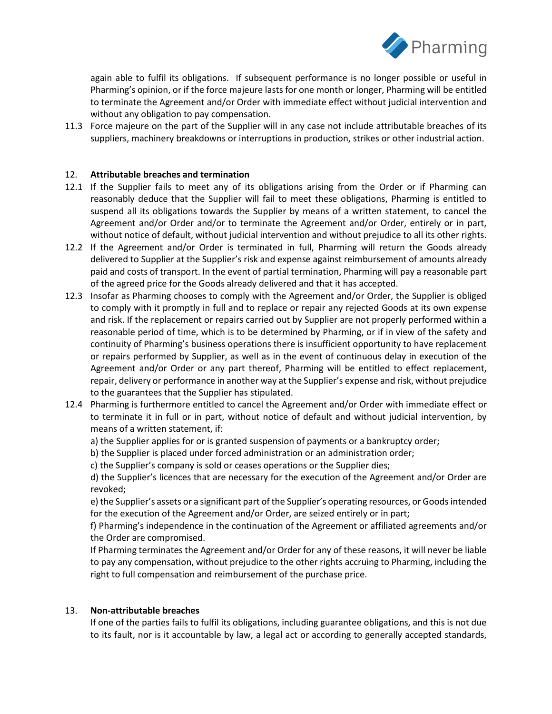

again able to fulfil its obligations. If subsequent performance is no longer possible or useful in Pharming's opinion, or if the force majeure lasts for one month or longer, Pharming will be entitled to terminate the Agreement and/or Order with immediate effect without judicial intervention and without any obligation to pay compensation.

11.3 Force majeure on the part of the Supplier will in any case not include attributable breaches of its suppliers, machinery breakdowns or interruptions in production, strikes or other industrial action.

### 12. **Attributable breaches and termination**

- 12.1 If the Supplier fails to meet any of its obligations arising from the Order or if Pharming can reasonably deduce that the Supplier will fail to meet these obligations, Pharming is entitled to suspend all its obligations towards the Supplier by means of a written statement, to cancel the Agreement and/or Order and/or to terminate the Agreement and/or Order, entirely or in part, without notice of default, without judicial intervention and without prejudice to all its other rights.
- 12.2 If the Agreement and/or Order is terminated in full, Pharming will return the Goods already delivered to Supplier at the Supplier's risk and expense against reimbursement of amounts already paid and costs of transport. In the event of partial termination, Pharming will pay a reasonable part of the agreed price for the Goods already delivered and that it has accepted.
- 12.3 Insofar as Pharming chooses to comply with the Agreement and/or Order, the Supplier is obliged to comply with it promptly in full and to replace or repair any rejected Goods at its own expense and risk. If the replacement or repairs carried out by Supplier are not properly performed within a reasonable period of time, which is to be determined by Pharming, or if in view of the safety and continuity of Pharming's business operations there is insufficient opportunity to have replacement or repairs performed by Supplier, as well as in the event of continuous delay in execution of the Agreement and/or Order or any part thereof, Pharming will be entitled to effect replacement, repair, delivery or performance in another way at the Supplier's expense and risk, without prejudice to the guarantees that the Supplier has stipulated.
- 12.4 Pharming is furthermore entitled to cancel the Agreement and/or Order with immediate effect or to terminate it in full or in part, without notice of default and without judicial intervention, by means of a written statement, if:
	- a) the Supplier applies for or is granted suspension of payments or a bankruptcy order;
	- b) the Supplier is placed under forced administration or an administration order;
	- c) the Supplier's company is sold or ceases operations or the Supplier dies;

d) the Supplier's licences that are necessary for the execution of the Agreement and/or Order are revoked;

e) the Supplier's assets or a significant part of the Supplier's operating resources, or Goods intended for the execution of the Agreement and/or Order, are seized entirely or in part;

f) Pharming's independence in the continuation of the Agreement or affiliated agreements and/or the Order are compromised.

If Pharming terminates the Agreement and/or Order for any of these reasons, it will never be liable to pay any compensation, without prejudice to the other rights accruing to Pharming, including the right to full compensation and reimbursement of the purchase price.

# 13. **Non-attributable breaches**

If one of the parties fails to fulfil its obligations, including guarantee obligations, and this is not due to its fault, nor is it accountable by law, a legal act or according to generally accepted standards,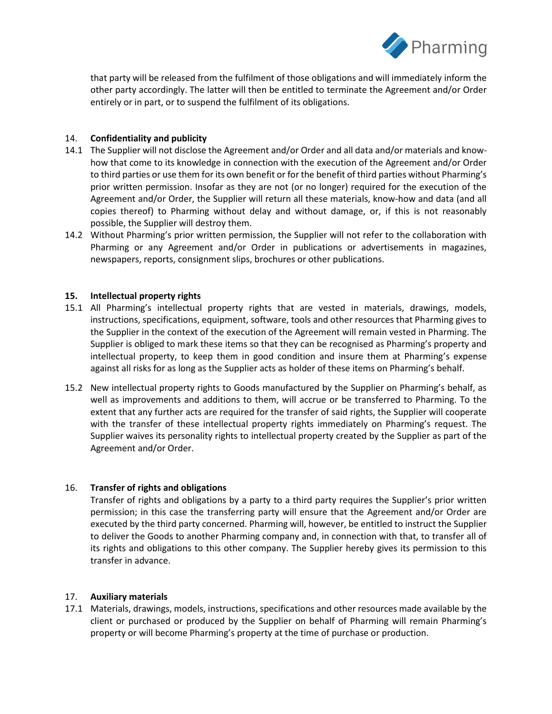

that party will be released from the fulfilment of those obligations and will immediately inform the other party accordingly. The latter will then be entitled to terminate the Agreement and/or Order entirely or in part, or to suspend the fulfilment of its obligations.

# 14. **Confidentiality and publicity**

- 14.1 The Supplier will not disclose the Agreement and/or Order and all data and/or materials and knowhow that come to its knowledge in connection with the execution of the Agreement and/or Order to third parties or use them for its own benefit or for the benefit of third parties without Pharming's prior written permission. Insofar as they are not (or no longer) required for the execution of the Agreement and/or Order, the Supplier will return all these materials, know-how and data (and all copies thereof) to Pharming without delay and without damage, or, if this is not reasonably possible, the Supplier will destroy them.
- 14.2 Without Pharming's prior written permission, the Supplier will not refer to the collaboration with Pharming or any Agreement and/or Order in publications or advertisements in magazines, newspapers, reports, consignment slips, brochures or other publications.

# **15. Intellectual property rights**

- 15.1 All Pharming's intellectual property rights that are vested in materials, drawings, models, instructions, specifications, equipment, software, tools and other resources that Pharming gives to the Supplier in the context of the execution of the Agreement will remain vested in Pharming. The Supplier is obliged to mark these items so that they can be recognised as Pharming's property and intellectual property, to keep them in good condition and insure them at Pharming's expense against all risks for as long as the Supplier acts as holder of these items on Pharming's behalf.
- 15.2 New intellectual property rights to Goods manufactured by the Supplier on Pharming's behalf, as well as improvements and additions to them, will accrue or be transferred to Pharming. To the extent that any further acts are required for the transfer of said rights, the Supplier will cooperate with the transfer of these intellectual property rights immediately on Pharming's request. The Supplier waives its personality rights to intellectual property created by the Supplier as part of the Agreement and/or Order.

# 16. **Transfer of rights and obligations**

Transfer of rights and obligations by a party to a third party requires the Supplier's prior written permission; in this case the transferring party will ensure that the Agreement and/or Order are executed by the third party concerned. Pharming will, however, be entitled to instruct the Supplier to deliver the Goods to another Pharming company and, in connection with that, to transfer all of its rights and obligations to this other company. The Supplier hereby gives its permission to this transfer in advance.

# 17. **Auxiliary materials**

17.1 Materials, drawings, models, instructions, specifications and other resources made available by the client or purchased or produced by the Supplier on behalf of Pharming will remain Pharming's property or will become Pharming's property at the time of purchase or production.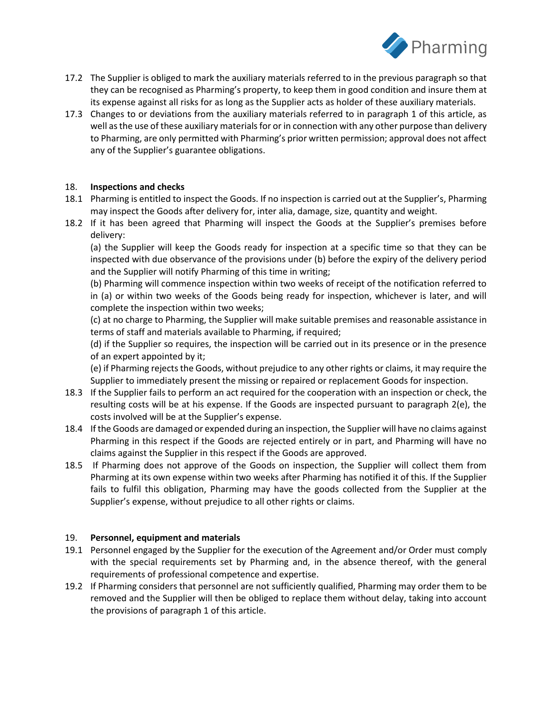

- 17.2 The Supplier is obliged to mark the auxiliary materials referred to in the previous paragraph so that they can be recognised as Pharming's property, to keep them in good condition and insure them at its expense against all risks for as long as the Supplier acts as holder of these auxiliary materials.
- 17.3 Changes to or deviations from the auxiliary materials referred to in paragraph 1 of this article, as well as the use of these auxiliary materials for or in connection with any other purpose than delivery to Pharming, are only permitted with Pharming's prior written permission; approval does not affect any of the Supplier's guarantee obligations.

# 18. **Inspections and checks**

- 18.1 Pharming is entitled to inspect the Goods. If no inspection is carried out at the Supplier's, Pharming may inspect the Goods after delivery for, inter alia, damage, size, quantity and weight.
- 18.2 If it has been agreed that Pharming will inspect the Goods at the Supplier's premises before delivery:

(a) the Supplier will keep the Goods ready for inspection at a specific time so that they can be inspected with due observance of the provisions under (b) before the expiry of the delivery period and the Supplier will notify Pharming of this time in writing;

(b) Pharming will commence inspection within two weeks of receipt of the notification referred to in (a) or within two weeks of the Goods being ready for inspection, whichever is later, and will complete the inspection within two weeks;

(c) at no charge to Pharming, the Supplier will make suitable premises and reasonable assistance in terms of staff and materials available to Pharming, if required;

(d) if the Supplier so requires, the inspection will be carried out in its presence or in the presence of an expert appointed by it;

(e) if Pharming rejects the Goods, without prejudice to any other rights or claims, it may require the Supplier to immediately present the missing or repaired or replacement Goods for inspection.

- 18.3 If the Supplier fails to perform an act required for the cooperation with an inspection or check, the resulting costs will be at his expense. If the Goods are inspected pursuant to paragraph 2(e), the costs involved will be at the Supplier's expense.
- 18.4 If the Goods are damaged or expended during an inspection, the Supplier will have no claims against Pharming in this respect if the Goods are rejected entirely or in part, and Pharming will have no claims against the Supplier in this respect if the Goods are approved.
- 18.5 If Pharming does not approve of the Goods on inspection, the Supplier will collect them from Pharming at its own expense within two weeks after Pharming has notified it of this. If the Supplier fails to fulfil this obligation, Pharming may have the goods collected from the Supplier at the Supplier's expense, without prejudice to all other rights or claims.

#### 19. **Personnel, equipment and materials**

- 19.1 Personnel engaged by the Supplier for the execution of the Agreement and/or Order must comply with the special requirements set by Pharming and, in the absence thereof, with the general requirements of professional competence and expertise.
- 19.2 If Pharming considers that personnel are not sufficiently qualified, Pharming may order them to be removed and the Supplier will then be obliged to replace them without delay, taking into account the provisions of paragraph 1 of this article.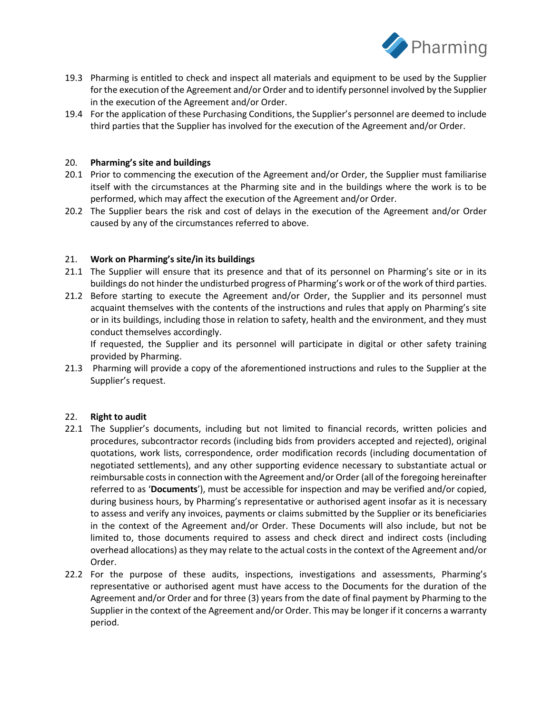

- 19.3 Pharming is entitled to check and inspect all materials and equipment to be used by the Supplier for the execution of the Agreement and/or Order and to identify personnel involved by the Supplier in the execution of the Agreement and/or Order.
- 19.4 For the application of these Purchasing Conditions, the Supplier's personnel are deemed to include third parties that the Supplier has involved for the execution of the Agreement and/or Order.

## 20. **Pharming's site and buildings**

- 20.1 Prior to commencing the execution of the Agreement and/or Order, the Supplier must familiarise itself with the circumstances at the Pharming site and in the buildings where the work is to be performed, which may affect the execution of the Agreement and/or Order.
- 20.2 The Supplier bears the risk and cost of delays in the execution of the Agreement and/or Order caused by any of the circumstances referred to above.

### 21. **Work on Pharming's site/in its buildings**

- 21.1 The Supplier will ensure that its presence and that of its personnel on Pharming's site or in its buildings do not hinder the undisturbed progress of Pharming's work or of the work of third parties.
- 21.2 Before starting to execute the Agreement and/or Order, the Supplier and its personnel must acquaint themselves with the contents of the instructions and rules that apply on Pharming's site or in its buildings, including those in relation to safety, health and the environment, and they must conduct themselves accordingly.

If requested, the Supplier and its personnel will participate in digital or other safety training provided by Pharming.

21.3 Pharming will provide a copy of the aforementioned instructions and rules to the Supplier at the Supplier's request.

#### 22. **Right to audit**

- 22.1 The Supplier's documents, including but not limited to financial records, written policies and procedures, subcontractor records (including bids from providers accepted and rejected), original quotations, work lists, correspondence, order modification records (including documentation of negotiated settlements), and any other supporting evidence necessary to substantiate actual or reimbursable costs in connection with the Agreement and/or Order (all of the foregoing hereinafter referred to as '**Documents**'), must be accessible for inspection and may be verified and/or copied, during business hours, by Pharming's representative or authorised agent insofar as it is necessary to assess and verify any invoices, payments or claims submitted by the Supplier or its beneficiaries in the context of the Agreement and/or Order. These Documents will also include, but not be limited to, those documents required to assess and check direct and indirect costs (including overhead allocations) as they may relate to the actual costs in the context of the Agreement and/or Order.
- 22.2 For the purpose of these audits, inspections, investigations and assessments, Pharming's representative or authorised agent must have access to the Documents for the duration of the Agreement and/or Order and for three (3) years from the date of final payment by Pharming to the Supplier in the context of the Agreement and/or Order. This may be longer if it concerns a warranty period.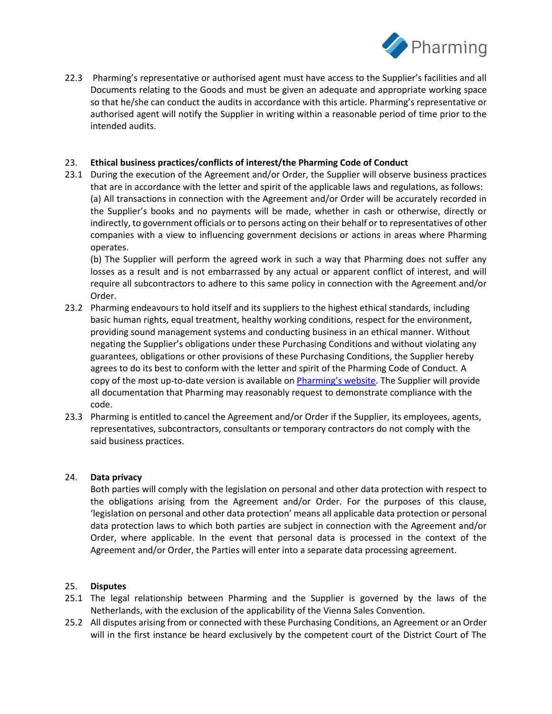

22.3 Pharming's representative or authorised agent must have access to the Supplier's facilities and all Documents relating to the Goods and must be given an adequate and appropriate working space so that he/she can conduct the audits in accordance with this article. Pharming's representative or authorised agent will notify the Supplier in writing within a reasonable period of time prior to the intended audits.

# 23. **Ethical business practices/conflicts of interest/the Pharming Code of Conduct**

23.1 During the execution of the Agreement and/or Order, the Supplier will observe business practices that are in accordance with the letter and spirit of the applicable laws and regulations, as follows: (a) All transactions in connection with the Agreement and/or Order will be accurately recorded in the Supplier's books and no payments will be made, whether in cash or otherwise, directly or indirectly, to government officials or to persons acting on their behalf or to representatives of other companies with a view to influencing government decisions or actions in areas where Pharming operates.

(b) The Supplier will perform the agreed work in such a way that Pharming does not suffer any losses as a result and is not embarrassed by any actual or apparent conflict of interest, and will require all subcontractors to adhere to this same policy in connection with the Agreement and/or Order.

- 23.2 Pharming endeavours to hold itself and its suppliers to the highest ethical standards, including basic human rights, equal treatment, healthy working conditions, respect for the environment, providing sound management systems and conducting business in an ethical manner. Without negating the Supplier's obligations under these Purchasing Conditions and without violating any guarantees, obligations or other provisions of these Purchasing Conditions, the Supplier hereby agrees to do its best to conform with the letter and spirit of the Pharming Code of Conduct. A copy of the most up-to-date version is available on [Pharming's website](https://usir.pharming.com/static-files/2a8bef0e-b0fd-4123-889c-1c283b146e75). The Supplier will provide all documentation that Pharming may reasonably request to demonstrate compliance with the code.
- 23.3 Pharming is entitled to cancel the Agreement and/or Order if the Supplier, its employees, agents, representatives, subcontractors, consultants or temporary contractors do not comply with the said business practices.

### 24. **Data privacy**

Both parties will comply with the legislation on personal and other data protection with respect to the obligations arising from the Agreement and/or Order. For the purposes of this clause, 'legislation on personal and other data protection' means all applicable data protection or personal data protection laws to which both parties are subject in connection with the Agreement and/or Order, where applicable. In the event that personal data is processed in the context of the Agreement and/or Order, the Parties will enter into a separate data processing agreement.

#### 25. **Disputes**

- 25.1 The legal relationship between Pharming and the Supplier is governed by the laws of the Netherlands, with the exclusion of the applicability of the Vienna Sales Convention.
- 25.2 All disputes arising from or connected with these Purchasing Conditions, an Agreement or an Order will in the first instance be heard exclusively by the competent court of the District Court of The